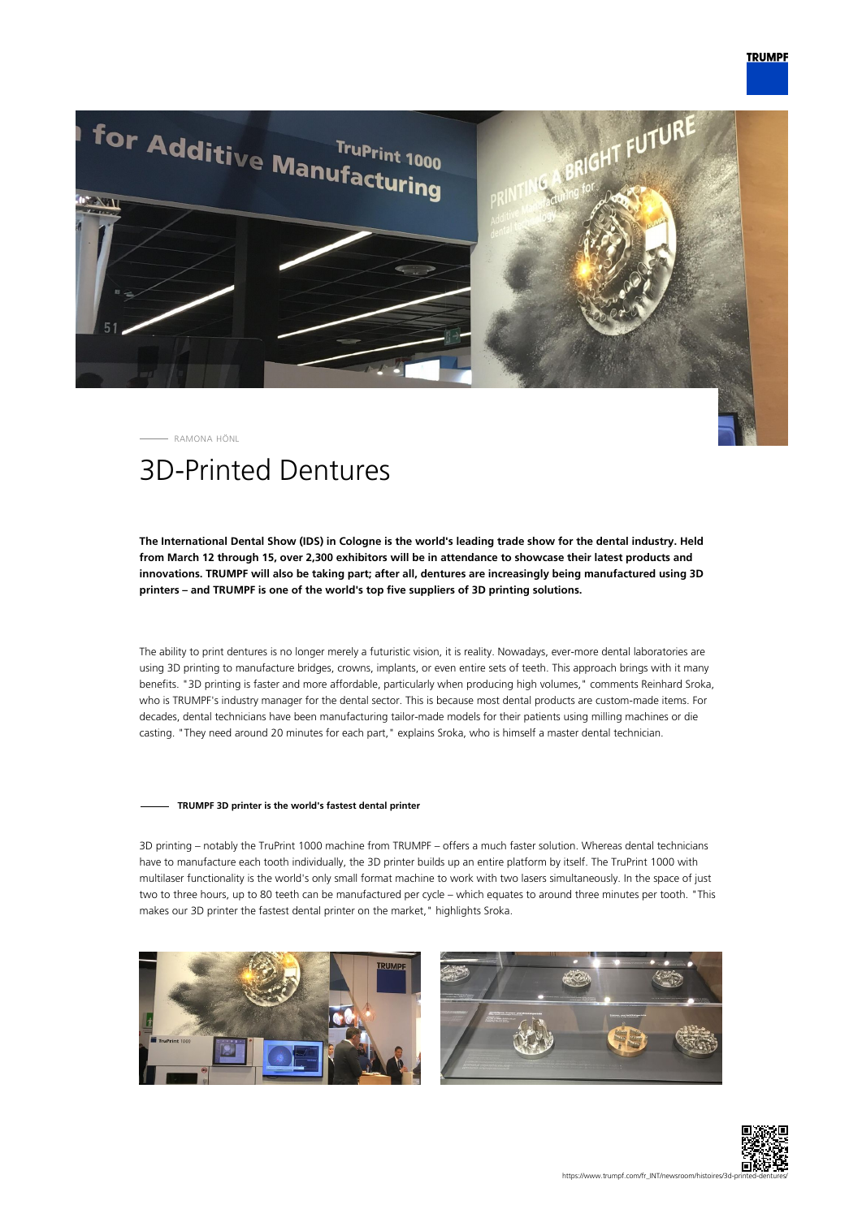

RAMONA HÖNL

## 3D-Printed Dentures

**The International Dental Show (IDS) in Cologne is the world's leading trade show for the dental industry. Held from March 12 through 15, over 2,300 exhibitors will be in attendance to showcase their latest products and innovations. TRUMPF will also be taking part; after all, dentures are increasingly being manufactured using 3D printers – and TRUMPF is one of the world's top five suppliers of 3D printing solutions.**

The ability to print dentures is no longer merely a futuristic vision, it is reality. Nowadays, ever-more dental laboratories are using 3D printing to manufacture bridges, crowns, implants, or even entire sets of teeth. This approach brings with it many benefits. "3D printing is faster and more affordable, particularly when producing high volumes," comments Reinhard Sroka, who is TRUMPF's industry manager for the dental sector. This is because most dental products are custom-made items. For decades, dental technicians have been manufacturing tailor-made models for their patients using milling machines or die casting. "They need around 20 minutes for each part," explains Sroka, who is himself a master dental technician.

## **TRUMPF 3D printer is the world's fastest dental printer**

3D printing – notably the TruPrint 1000 machine from TRUMPF – offers a much faster solution. Whereas dental technicians have to manufacture each tooth individually, the 3D printer builds up an entire platform by itself. The TruPrint 1000 with multilaser functionality is the world's only small format machine to work with two lasers simultaneously. In the space of just two to three hours, up to 80 teeth can be manufactured per cycle – which equates to around three minutes per tooth. "This makes our 3D printer the fastest dental printer on the market," highlights Sroka.